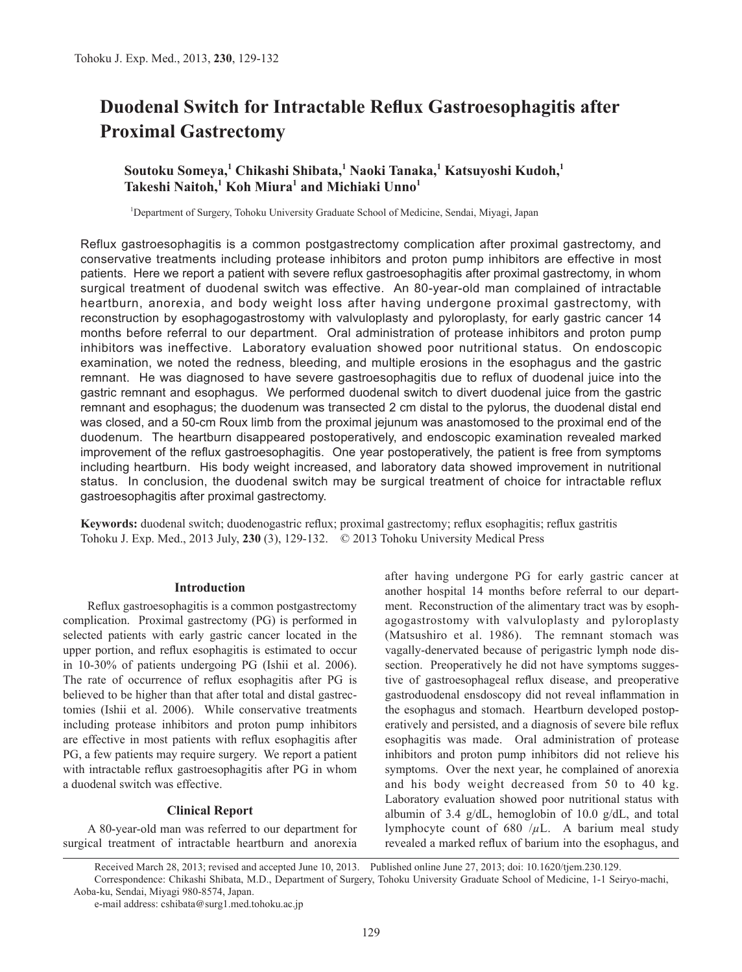# **Duodenal Switch for Intractable Reflux Gastroesophagitis after Proximal Gastrectomy**

# **Soutoku Someya,<sup>1</sup> Chikashi Shibata,<sup>1</sup> Naoki Tanaka,<sup>1</sup> Katsuyoshi Kudoh,<sup>1</sup>**  $\mathbf{T}$ akeshi Naitoh, $\frac{1}{2}$  Koh Miura $\frac{1}{2}$  and Michiaki Unno $\frac{1}{2}$

1 Department of Surgery, Tohoku University Graduate School of Medicine, Sendai, Miyagi, Japan

Reflux gastroesophagitis is a common postgastrectomy complication after proximal gastrectomy, and conservative treatments including protease inhibitors and proton pump inhibitors are effective in most patients. Here we report a patient with severe reflux gastroesophagitis after proximal gastrectomy, in whom surgical treatment of duodenal switch was effective. An 80-year-old man complained of intractable heartburn, anorexia, and body weight loss after having undergone proximal gastrectomy, with reconstruction by esophagogastrostomy with valvuloplasty and pyloroplasty, for early gastric cancer 14 months before referral to our department. Oral administration of protease inhibitors and proton pump inhibitors was ineffective. Laboratory evaluation showed poor nutritional status. On endoscopic examination, we noted the redness, bleeding, and multiple erosions in the esophagus and the gastric remnant. He was diagnosed to have severe gastroesophagitis due to reflux of duodenal juice into the gastric remnant and esophagus. We performed duodenal switch to divert duodenal juice from the gastric remnant and esophagus; the duodenum was transected 2 cm distal to the pylorus, the duodenal distal end was closed, and a 50-cm Roux limb from the proximal jejunum was anastomosed to the proximal end of the duodenum. The heartburn disappeared postoperatively, and endoscopic examination revealed marked improvement of the reflux gastroesophagitis. One year postoperatively, the patient is free from symptoms including heartburn. His body weight increased, and laboratory data showed improvement in nutritional status. In conclusion, the duodenal switch may be surgical treatment of choice for intractable reflux gastroesophagitis after proximal gastrectomy.

**Keywords:** duodenal switch; duodenogastric reflux; proximal gastrectomy; reflux esophagitis; reflux gastritis Tohoku J. Exp. Med., 2013 July, **230** (3), 129-132. © 2013 Tohoku University Medical Press

## **Introduction**

Reflux gastroesophagitis is a common postgastrectomy complication. Proximal gastrectomy (PG) is performed in selected patients with early gastric cancer located in the upper portion, and reflux esophagitis is estimated to occur in 10-30% of patients undergoing PG (Ishii et al. 2006). The rate of occurrence of reflux esophagitis after PG is believed to be higher than that after total and distal gastrectomies (Ishii et al. 2006). While conservative treatments including protease inhibitors and proton pump inhibitors are effective in most patients with reflux esophagitis after PG, a few patients may require surgery. We report a patient with intractable reflux gastroesophagitis after PG in whom a duodenal switch was effective.

# **Clinical Report**

A 80-year-old man was referred to our department for surgical treatment of intractable heartburn and anorexia after having undergone PG for early gastric cancer at another hospital 14 months before referral to our department. Reconstruction of the alimentary tract was by esophagogastrostomy with valvuloplasty and pyloroplasty (Matsushiro et al. 1986). The remnant stomach was vagally-denervated because of perigastric lymph node dissection. Preoperatively he did not have symptoms suggestive of gastroesophageal reflux disease, and preoperative gastroduodenal ensdoscopy did not reveal inflammation in the esophagus and stomach. Heartburn developed postoperatively and persisted, and a diagnosis of severe bile reflux esophagitis was made. Oral administration of protease inhibitors and proton pump inhibitors did not relieve his symptoms. Over the next year, he complained of anorexia and his body weight decreased from 50 to 40 kg. Laboratory evaluation showed poor nutritional status with albumin of 3.4 g/dL, hemoglobin of 10.0 g/dL, and total lymphocyte count of 680 /*µ*L. A barium meal study revealed a marked reflux of barium into the esophagus, and

e-mail address: cshibata@surg1.med.tohoku.ac.jp

Received March 28, 2013; revised and accepted June 10, 2013. Published online June 27, 2013; doi: 10.1620/tjem.230.129. Correspondence: Chikashi Shibata, M.D., Department of Surgery, Tohoku University Graduate School of Medicine, 1-1 Seiryo-machi, Aoba-ku, Sendai, Miyagi 980-8574, Japan.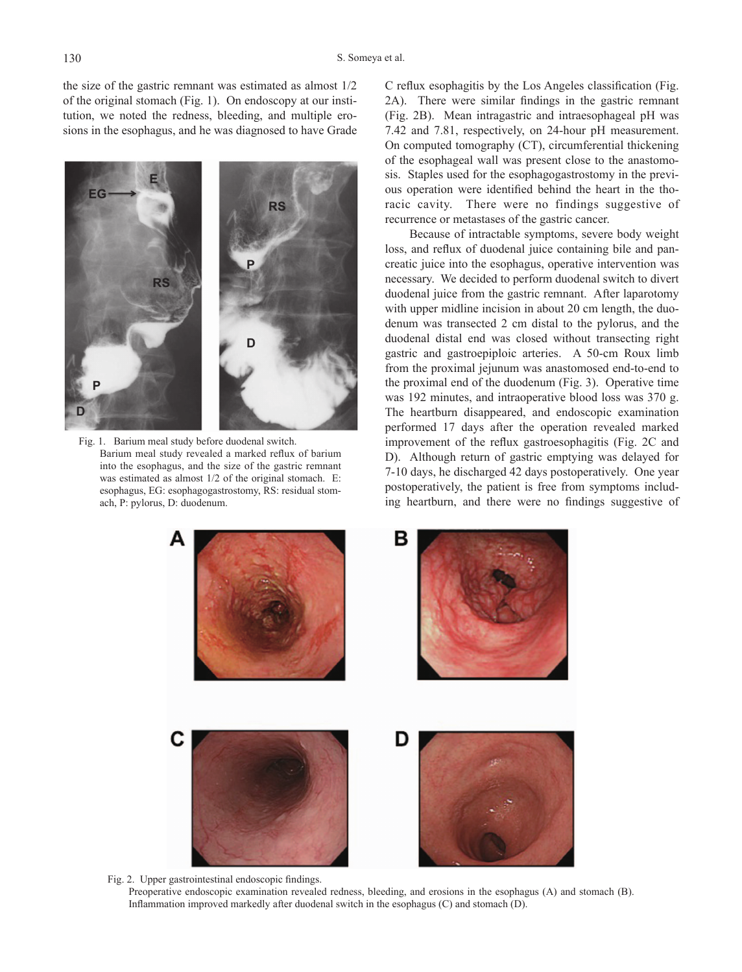the size of the gastric remnant was estimated as almost 1/2 of the original stomach (Fig. 1). On endoscopy at our institution, we noted the redness, bleeding, and multiple erosions in the esophagus, and he was diagnosed to have Grade



Fig. 1. Barium meal study before duodenal switch. Barium meal study revealed a marked reflux of barium into the esophagus, and the size of the gastric remnant was estimated as almost 1/2 of the original stomach. E: esophagus, EG: esophagogastrostomy, RS: residual stomach, P: pylorus, D: duodenum.

C reflux esophagitis by the Los Angeles classification (Fig. 2A). There were similar findings in the gastric remnant (Fig. 2B). Mean intragastric and intraesophageal pH was 7.42 and 7.81, respectively, on 24-hour pH measurement. On computed tomography (CT), circumferential thickening of the esophageal wall was present close to the anastomosis. Staples used for the esophagogastrostomy in the previous operation were identified behind the heart in the thoracic cavity. There were no findings suggestive of recurrence or metastases of the gastric cancer.

Because of intractable symptoms, severe body weight loss, and reflux of duodenal juice containing bile and pancreatic juice into the esophagus, operative intervention was necessary. We decided to perform duodenal switch to divert duodenal juice from the gastric remnant. After laparotomy with upper midline incision in about 20 cm length, the duodenum was transected 2 cm distal to the pylorus, and the duodenal distal end was closed without transecting right gastric and gastroepiploic arteries. A 50-cm Roux limb from the proximal jejunum was anastomosed end-to-end to the proximal end of the duodenum (Fig. 3). Operative time was 192 minutes, and intraoperative blood loss was 370 g. The heartburn disappeared, and endoscopic examination performed 17 days after the operation revealed marked improvement of the reflux gastroesophagitis (Fig. 2C and D). Although return of gastric emptying was delayed for 7-10 days, he discharged 42 days postoperatively. One year postoperatively, the patient is free from symptoms including heartburn, and there were no findings suggestive of



Fig. 2. Upper gastrointestinal endoscopic findings. Preoperative endoscopic examination revealed redness, bleeding, and erosions in the esophagus (A) and stomach (B). Inflammation improved markedly after duodenal switch in the esophagus (C) and stomach (D).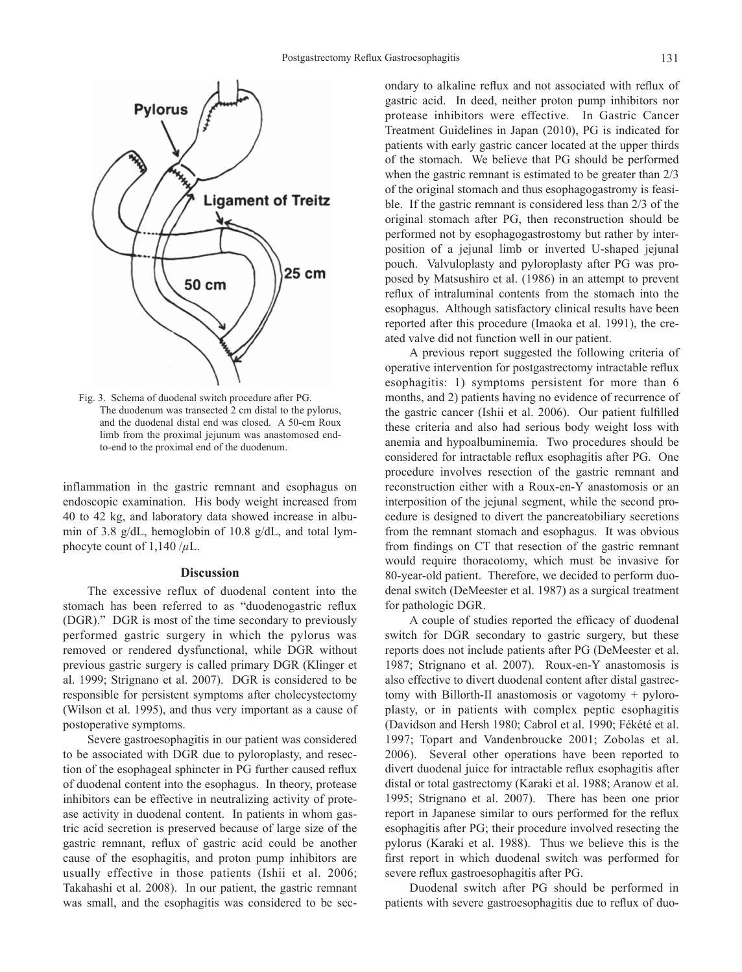

Fig. 3. Schema of duodenal switch procedure after PG. The duodenum was transected 2 cm distal to the pylorus, and the duodenal distal end was closed. A 50-cm Roux limb from the proximal jejunum was anastomosed endto-end to the proximal end of the duodenum.

inflammation in the gastric remnant and esophagus on endoscopic examination. His body weight increased from 40 to 42 kg, and laboratory data showed increase in albumin of 3.8 g/dL, hemoglobin of 10.8 g/dL, and total lymphocyte count of  $1,140/\mu L$ .

### **Discussion**

The excessive reflux of duodenal content into the stomach has been referred to as "duodenogastric reflux (DGR)." DGR is most of the time secondary to previously performed gastric surgery in which the pylorus was removed or rendered dysfunctional, while DGR without previous gastric surgery is called primary DGR (Klinger et al. 1999; Strignano et al. 2007). DGR is considered to be responsible for persistent symptoms after cholecystectomy (Wilson et al. 1995), and thus very important as a cause of postoperative symptoms.

Severe gastroesophagitis in our patient was considered to be associated with DGR due to pyloroplasty, and resection of the esophageal sphincter in PG further caused reflux of duodenal content into the esophagus. In theory, protease inhibitors can be effective in neutralizing activity of protease activity in duodenal content. In patients in whom gastric acid secretion is preserved because of large size of the gastric remnant, reflux of gastric acid could be another cause of the esophagitis, and proton pump inhibitors are usually effective in those patients (Ishii et al. 2006; Takahashi et al. 2008). In our patient, the gastric remnant was small, and the esophagitis was considered to be secondary to alkaline reflux and not associated with reflux of gastric acid. In deed, neither proton pump inhibitors nor protease inhibitors were effective. In Gastric Cancer Treatment Guidelines in Japan (2010), PG is indicated for patients with early gastric cancer located at the upper thirds of the stomach. We believe that PG should be performed when the gastric remnant is estimated to be greater than 2/3 of the original stomach and thus esophagogastromy is feasible. If the gastric remnant is considered less than 2/3 of the original stomach after PG, then reconstruction should be performed not by esophagogastrostomy but rather by interposition of a jejunal limb or inverted U-shaped jejunal pouch. Valvuloplasty and pyloroplasty after PG was proposed by Matsushiro et al. (1986) in an attempt to prevent reflux of intraluminal contents from the stomach into the esophagus. Although satisfactory clinical results have been reported after this procedure (Imaoka et al. 1991), the created valve did not function well in our patient.

A previous report suggested the following criteria of operative intervention for postgastrectomy intractable reflux esophagitis: 1) symptoms persistent for more than 6 months, and 2) patients having no evidence of recurrence of the gastric cancer (Ishii et al. 2006). Our patient fulfilled these criteria and also had serious body weight loss with anemia and hypoalbuminemia. Two procedures should be considered for intractable reflux esophagitis after PG. One procedure involves resection of the gastric remnant and reconstruction either with a Roux-en-Y anastomosis or an interposition of the jejunal segment, while the second procedure is designed to divert the pancreatobiliary secretions from the remnant stomach and esophagus. It was obvious from findings on CT that resection of the gastric remnant would require thoracotomy, which must be invasive for 80-year-old patient. Therefore, we decided to perform duodenal switch (DeMeester et al. 1987) as a surgical treatment for pathologic DGR.

A couple of studies reported the efficacy of duodenal switch for DGR secondary to gastric surgery, but these reports does not include patients after PG (DeMeester et al. 1987; Strignano et al. 2007). Roux-en-Y anastomosis is also effective to divert duodenal content after distal gastrectomy with Billorth-II anastomosis or vagotomy + pyloroplasty, or in patients with complex peptic esophagitis (Davidson and Hersh 1980; Cabrol et al. 1990; Fékété et al. 1997; Topart and Vandenbroucke 2001; Zobolas et al. 2006). Several other operations have been reported to divert duodenal juice for intractable reflux esophagitis after distal or total gastrectomy (Karaki et al. 1988; Aranow et al. 1995; Strignano et al. 2007). There has been one prior report in Japanese similar to ours performed for the reflux esophagitis after PG; their procedure involved resecting the pylorus (Karaki et al. 1988). Thus we believe this is the first report in which duodenal switch was performed for severe reflux gastroesophagitis after PG.

Duodenal switch after PG should be performed in patients with severe gastroesophagitis due to reflux of duo